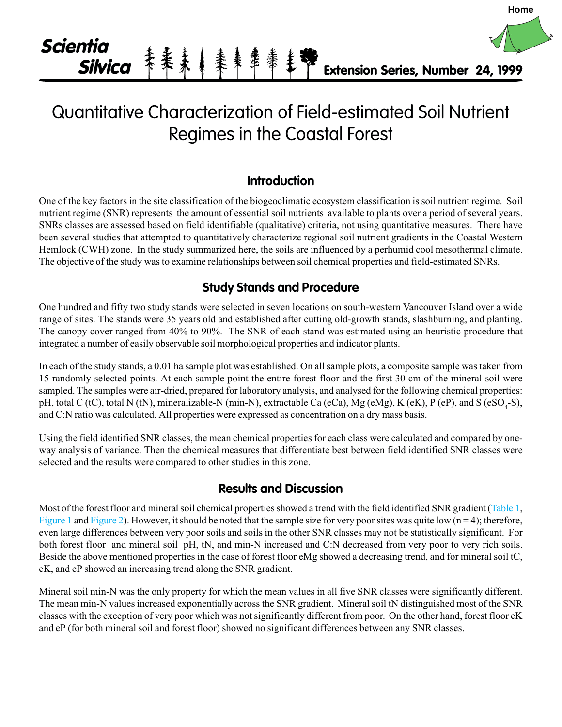

# Quantitative Characterization of Field-estimated Soil Nutrient Regimes in the Coastal Forest

## **Introduction**

One of the key factors in the site classification of the biogeoclimatic ecosystem classification is soil nutrient regime. Soil nutrient regime (SNR) represents the amount of essential soil nutrients available to plants over a period of several years. SNRs classes are assessed based on field identifiable (qualitative) criteria, not using quantitative measures. There have been several studies that attempted to quantitatively characterize regional soil nutrient gradients in the Coastal Western Hemlock (CWH) zone. In the study summarized here, the soils are influenced by a perhumid cool mesothermal climate. The objective of the study was to examine relationships between soil chemical properties and field-estimated SNRs.

## **Study Stands and Procedure**

One hundred and fifty two study stands were selected in seven locations on south-western Vancouver Island over a wide range of sites. The stands were 35 years old and established after cutting old-growth stands, slashburning, and planting. The canopy cover ranged from 40% to 90%. The SNR of each stand was estimated using an heuristic procedure that integrated a number of easily observable soil morphological properties and indicator plants.

In each of the study stands, a 0.01 ha sample plot was established. On all sample plots, a composite sample was taken from 15 randomly selected points. At each sample point the entire forest floor and the first 30 cm of the mineral soil were sampled. The samples were air-dried, prepared for laboratory analysis, and analysed for the following chemical properties: pH, total C (tC), total N (tN), mineralizable-N (min-N), extractable Ca (eCa), Mg (eMg), K (eK), P (eP), and S (eSO<sub>4</sub>-S), and C:N ratio was calculated. All properties were expressed as concentration on a dry mass basis.

Using the field identified SNR classes, the mean chemical properties for each class were calculated and compared by oneway analysis of variance. Then the chemical measures that differentiate best between field identified SNR classes were selected and the results were compared to other studies in this zone.

### **Results and Discussion**

Most of the forest floor and mineral soil chemical properties showed a trend with the field identified SNR gradient [\(Table 1,](#page-1-0) [Figure 1](#page-2-0) and [Figure 2\)](#page-2-0). However, it should be noted that the sample size for very poor sites was quite low  $(n = 4)$ ; therefore, even large differences between very poor soils and soils in the other SNR classes may not be statistically significant. For both forest floor and mineral soil pH, tN, and min-N increased and C:N decreased from very poor to very rich soils. Beside the above mentioned properties in the case of forest floor eMg showed a decreasing trend, and for mineral soil tC, eK, and eP showed an increasing trend along the SNR gradient.

Mineral soil min-N was the only property for which the mean values in all five SNR classes were significantly different. The mean min-N values increased exponentially across the SNR gradient. Mineral soil tN distinguished most of the SNR classes with the exception of very poor which was not significantly different from poor. On the other hand, forest floor eK and eP (for both mineral soil and forest floor) showed no significant differences between any SNR classes.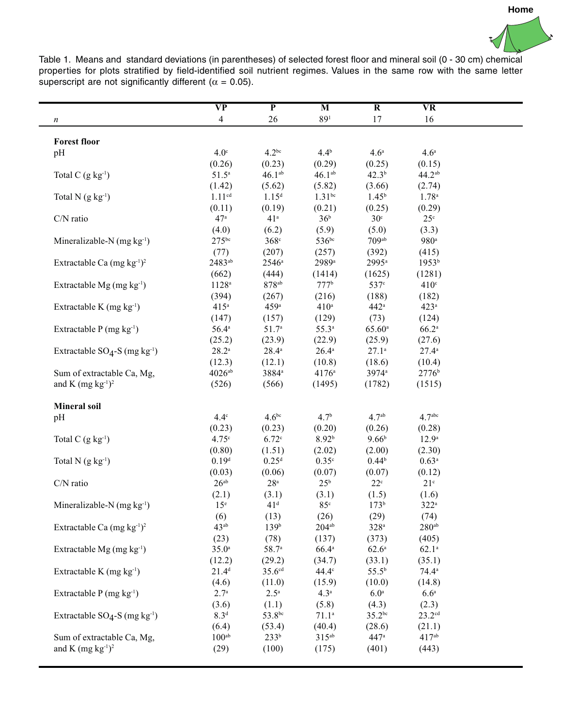<span id="page-1-0"></span>

Table 1. Means and standard deviations (in parentheses) of selected forest floor and mineral soil (0 - 30 cm) chemical properties for plots stratified by field-identified soil nutrient regimes. Values in the same row with the same letter superscript are not significantly different ( $\alpha$  = 0.05).

 $\blacksquare$ 

 $\overline{\phantom{0}}$ 

|                                                                               | $\overline{\bf VP}$  | $\overline{P}$     | $\overline{\mathbf{M}}$ | $\overline{\mathbf{R}}$ | $\overline{\mathbf{VR}}$ |  |
|-------------------------------------------------------------------------------|----------------------|--------------------|-------------------------|-------------------------|--------------------------|--|
| $\boldsymbol{n}$                                                              | $\overline{4}$       | 26                 | 89 <sup>1</sup>         | 17                      | 16                       |  |
|                                                                               |                      |                    |                         |                         |                          |  |
| <b>Forest floor</b>                                                           |                      |                    |                         |                         |                          |  |
| pH                                                                            | $4.0^\circ$          | $4.2^{bc}$         | $4.4^{b}$               | 4.6 <sup>a</sup>        | 4.6 <sup>a</sup>         |  |
|                                                                               | (0.26)               | (0.23)             | (0.29)                  | (0.25)                  | (0.15)                   |  |
| Total C $(g \ kg^{-1})$                                                       | $51.5^{\circ}$       | $46.1^{ab}$        | $46.1^{ab}$             | $42.3^{b}$              | $44.2^{ab}$              |  |
|                                                                               | (1.42)               | (5.62)             | (5.82)                  | (3.66)                  | (2.74)                   |  |
| Total N $(g \ kg^{-1})$                                                       | 1.11 <sup>cd</sup>   | 1.15 <sup>d</sup>  | $1.31^{bc}$             | $1.45^{b}$              | $1.78^{a}$               |  |
|                                                                               | (0.11)               | (0.19)             | (0.21)                  | (0.25)                  | (0.29)                   |  |
| C/N ratio                                                                     | 47 <sup>a</sup>      | 41 <sup>a</sup>    | 36 <sup>b</sup>         | 30 <sup>c</sup>         | 25 <sup>c</sup>          |  |
|                                                                               | (4.0)                | (6.2)              | (5.9)                   | (5.0)                   | (3.3)                    |  |
| Mineralizable-N $(mg kg^{-1})$                                                | $275^{bc}$           | $368^\circ$        | 536bc                   | $709$ <sup>ab</sup>     | 980 <sup>a</sup>         |  |
|                                                                               | (77)                 | (207)              | (257)                   | (392)                   | (415)                    |  |
| Extractable Ca $(mg kg^{-1})^2$                                               | 2483ab               | $2546^{\circ}$     | 2989 <sup>a</sup>       | 2995 <sup>a</sup>       | 1953 <sup>b</sup>        |  |
|                                                                               | (662)                | (444)              | (1414)                  | (1625)                  | (1281)                   |  |
| Extractable Mg (mg kg <sup>-1</sup> )                                         | $1128$ <sup>a</sup>  | $878^{ab}$         | 777 <sup>b</sup>        | 537 <sup>c</sup>        | 410°                     |  |
|                                                                               | (394)                | (267)              | (216)                   | (188)                   | (182)                    |  |
| Extractable K (mg kg <sup>-1</sup> )                                          | 415 <sup>a</sup>     | 459 <sup>a</sup>   | $410^a$                 | 442ª                    | 423 <sup>a</sup>         |  |
|                                                                               | (147)                | (157)              | (129)                   | (73)                    | (124)                    |  |
| Extractable $P(mg kg^{-1})$                                                   | $56.4^{\rm a}$       | $51.7^{\circ}$     | $55.3^{\circ}$          | $65.60^{\rm a}$         | $66.2^{\rm a}$           |  |
|                                                                               | (25.2)               | (23.9)             | (22.9)                  | (25.9)                  | (27.6)                   |  |
| Extractable $SO_4$ -S (mg kg <sup>-1</sup> )                                  | $28.2^{\mathrm{a}}$  | $28.4^a$           | $26.4^{\mathrm{a}}$     | $27.1^{\circ}$          | $27.4^{\circ}$           |  |
|                                                                               | (12.3)               | (12.1)             | (10.8)                  | (18.6)                  | (10.4)                   |  |
| Sum of extractable Ca, Mg,                                                    | $4026$ <sup>ab</sup> | 3884 <sup>a</sup>  | $4176^{\rm a}$          | 3974 <sup>a</sup>       | 2776 <sup>b</sup>        |  |
| and K $(mg kg-1)2$                                                            | (526)                | (566)              | (1495)                  | (1782)                  | (1515)                   |  |
|                                                                               |                      |                    |                         |                         |                          |  |
| <b>Mineral soil</b>                                                           |                      |                    |                         |                         |                          |  |
| pH                                                                            | $4.4^\circ$          | $4.6^{bc}$         | $4.7^{b}$               | 4.7 <sup>ab</sup>       | 4.7 <sup>abc</sup>       |  |
|                                                                               | (0.23)               | (0.23)             | (0.20)                  | (0.26)                  | (0.28)                   |  |
| Total C $(g \ kg^{-1})$                                                       | 4.75c                | 6.72c              | 8.92 <sup>b</sup>       | $9.66^{b}$              | 12.9 <sup>a</sup>        |  |
|                                                                               | (0.80)               | (1.51)             | (2.02)                  | (2.00)                  | (2.30)                   |  |
| Total $N$ (g $kg^{-1}$ )                                                      | 0.19 <sup>d</sup>    | 0.25 <sup>d</sup>  | 0.35 <sup>c</sup>       | $0.44^{b}$              | $0.63^{a}$               |  |
|                                                                               | (0.03)               | (0.06)             | (0.07)                  | (0.07)                  | (0.12)                   |  |
| C/N ratio                                                                     | $26^{ab}$            | 28 <sup>a</sup>    | 25 <sup>b</sup>         | $22^{\circ}$            | 21 <sup>c</sup>          |  |
|                                                                               | (2.1)                | (3.1)              | (3.1)                   | (1.5)                   | (1.6)                    |  |
| Mineralizable-N $(mg kg-1)$                                                   | 15 <sup>e</sup>      | 41 <sup>d</sup>    | $85^\circ$              | $173^{b}$               | $322^a$                  |  |
|                                                                               | (6)                  | (13)               | (26)                    | (29)                    | (74)                     |  |
| Extractable Ca $(mg kg^{-1})^2$                                               | $43^{ab}$            | 139 <sup>b</sup>   | $204^{ab}$              | $328^a$                 | 280 <sup>ab</sup>        |  |
|                                                                               | (23)                 | (78)               | (137)                   | (373)                   | (405)                    |  |
| Extractable Mg (mg kg <sup>-1</sup> )<br>Extractable K (mg kg <sup>-1</sup> ) | $35.0^{\circ}$       | 58.7 <sup>a</sup>  | $66.4^{\circ}$          | 62.6 <sup>a</sup>       | $62.1^{\circ}$           |  |
|                                                                               | (12.2)               | (29.2)             | (34.7)                  | (33.1)                  | (35.1)                   |  |
|                                                                               | $21.4^{d}$           | 35.6 <sup>cd</sup> | $44.4^\circ$            | $55.5^{b}$              | $74.4^{\circ}$           |  |
|                                                                               | (4.6)                | (11.0)             | (15.9)                  | (10.0)                  | (14.8)                   |  |
| Extractable $P(mg kg^{-1})$                                                   | $2.7^{\circ}$        | $2.5^{\mathrm{a}}$ | 4.3 <sup>a</sup>        | 6.0 <sup>a</sup>        | 6.6 <sup>a</sup>         |  |
|                                                                               | (3.6)                | (1.1)              | (5.8)                   | (4.3)                   | (2.3)                    |  |
| Extractable $SO_4$ -S (mg kg <sup>-1</sup> )                                  | 8.3 <sup>d</sup>     | 53.8bc             | 71.1 <sup>a</sup>       | $35.2^{bc}$             | 23.2 <sup>cd</sup>       |  |
|                                                                               | (6.4)                | (53.4)             | (40.4)                  | (28.6)                  | (21.1)                   |  |
| Sum of extractable Ca, Mg,                                                    | 100 <sup>ab</sup>    | 233 <sup>b</sup>   | $315^{ab}$              | 447 <sup>a</sup>        | 417 <sup>ab</sup>        |  |
| and K $(mg kg-1)2$                                                            | (29)                 | (100)              | (175)                   | (401)                   | (443)                    |  |
|                                                                               |                      |                    |                         |                         |                          |  |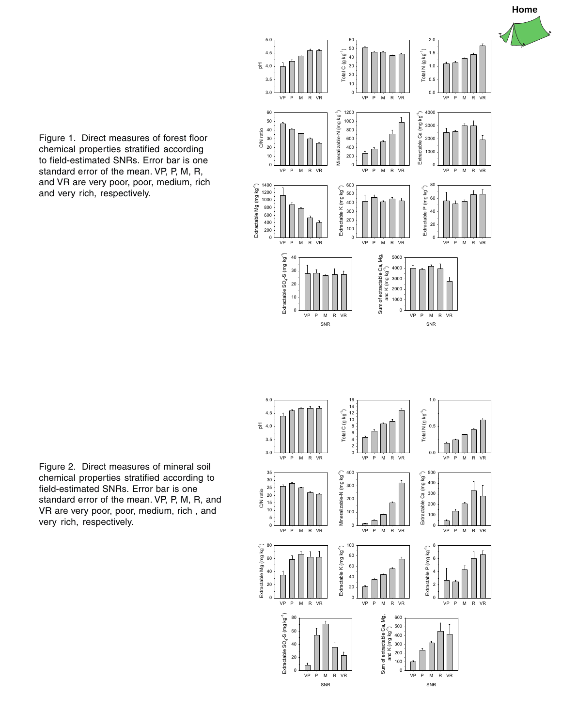

<span id="page-2-0"></span>Figure 1. Direct measures of forest floor chemical properties stratified according to field-estimated SNRs. Error bar is one standard error of the mean. VP, P, M, R, and VR are very poor, poor, medium, rich and very rich, respectively.